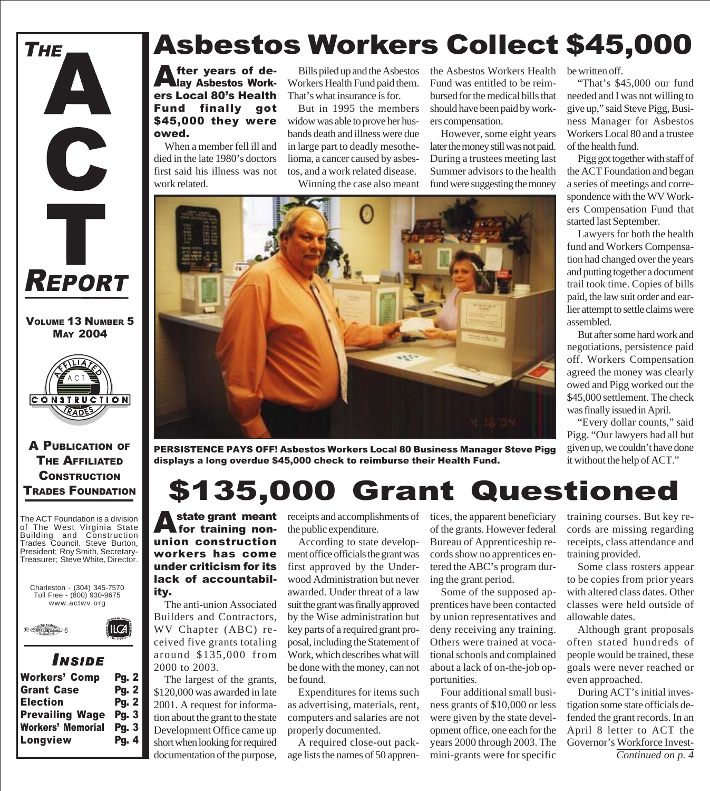

VOLUME 13 NUMBER 5 MAY 2004



A PUBLICATION OF THE AFFILIATED **CONSTRUCTION** TRADES FOUNDATION

The ACT Foundation is a division of The West Virginia State Building and Construction Trades Council. Steve Burton, President; Roy Smith, Secretary-Treasurer; Steve White, Director.



### *I NSIDE*

| Workers' Comp            | <b>Pg. 2</b> |
|--------------------------|--------------|
| <b>Grant Case</b>        | <b>Pg. 2</b> |
| <b>Election</b>          | <b>Pg. 2</b> |
| <b>Prevailing Wage</b>   | Pg.3         |
| <b>Workers' Memorial</b> | Pg.3         |
| Longview                 | Pg. 4        |

# Asbestos Workers Collect \$45,000

fter years of delay Asbestos Workers Local 80's Health Fund finally got \$45,000 they were owed.

When a member fell ill and died in the late 1980's doctors first said his illness was not work related.

Bills piled up and the Asbestos Workers Health Fund paid them. That's what insurance is for.

But in 1995 the members widow was able to prove her husbands death and illness were due in large part to deadly mesothelioma, a cancer caused by asbestos, and a work related disease.

Winning the case also meant

the Asbestos Workers Health Fund was entitled to be reimbursed for the medical bills that should have been paid by workers compensation.

be written off.

of the health fund.

started last September.

assembled.

"That's \$45,000 our fund needed and I was not willing to give up," said Steve Pigg, Business Manager for Asbestos Workers Local 80 and a trustee

Pigg got together with staff of the ACT Foundation and began a series of meetings and correspondence with the WV Workers Compensation Fund that

Lawyers for both the health fund and Workers Compensation had changed over the years and putting together a document trail took time. Copies of bills paid, the law suit order and earlier attempt to settle claims were

But after some hard work and negotiations, persistence paid off. Workers Compensation agreed the money was clearly owed and Pigg worked out the \$45,000 settlement. The check was finally issued in April.

"Every dollar counts," said Pigg. "Our lawyers had all but given up, we couldn't have done it without the help of ACT."

However, some eight years later the money still was not paid. During a trustees meeting last Summer advisors to the health fund were suggesting the money



PERSISTENCE PAYS OFF! Asbestos Workers Local 80 Business Manager Steve Pigg displays a long overdue \$45,000 check to reimburse their Health Fund.

# \$135,000 Grant Questioned

A state grant meant union construction workers has come under criticism for its lack of accountability.

The anti-union Associated Builders and Contractors, WV Chapter (ABC) received five grants totaling around \$135,000 from 2000 to 2003.

The largest of the grants, \$120,000 was awarded in late 2001. A request for information about the grant to the state Development Office came up short when looking for required

receipts and accomplishments of tices, the apparent beneficiary the public expenditure.

According to state development office officials the grant was first approved by the Underwood Administration but never awarded. Under threat of a law suit the grant was finally approved by the Wise administration but key parts of a required grant proposal, including the Statement of Work, which describes what will be done with the money, can not be found.

Expenditures for items such as advertising, materials, rent, computers and salaries are not properly documented.

documentation of the purpose, age lists the names of 50 appren- mini-grants were for specific Continued on p. 4 A required close-out pack-

of the grants. However federal Bureau of Apprenticeship records show no apprentices entered the ABC's program during the grant period.

Some of the supposed apprentices have been contacted by union representatives and deny receiving any training. Others were trained at vocational schools and complained about a lack of on-the-job opportunities.

Four additional small business grants of \$10,000 or less were given by the state development office, one each for the years 2000 through 2003. The mini-grants were for specific

training courses. But key records are missing regarding receipts, class attendance and training provided.

Some class rosters appear to be copies from prior years with altered class dates. Other classes were held outside of allowable dates.

Although grant proposals often stated hundreds of people would be trained, these goals were never reached or even approached.

During ACT's initial investigation some state officials defended the grant records. In an April 8 letter to ACT the Governor's Workforce Invest-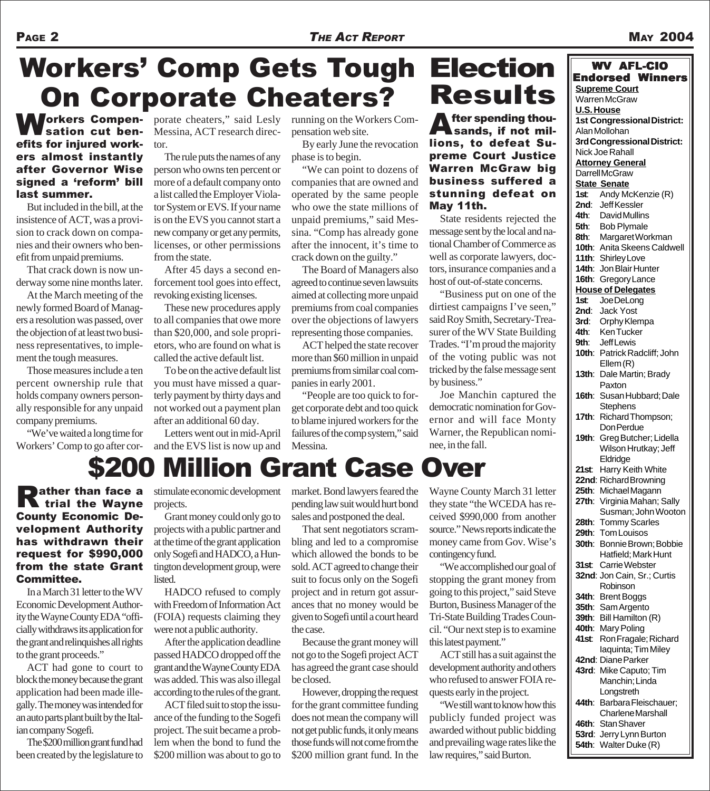# Workers' Comp Gets Tough **On Corporate Cheaters?**

Workers Compen-sation cut benefits for injured workers almost instantly after Governor Wise signed a 'reform' bill last summer.

But included in the bill, at the insistence of ACT, was a provision to crack down on companies and their owners who benefit from unpaid premiums.

That crack down is now underway some nine months later.

At the March meeting of the newly formed Board of Managers a resolution was passed, over the objection of at least two business representatives, to implement the tough measures.

Those measures include a ten percent ownership rule that holds company owners personally responsible for any unpaid company premiums.

"We've waited a long time for Workers' Comp to go after corporate cheaters," said Lesly Messina, ACT research director.

The rule puts the names of any person who owns ten percent or more of a default company onto a list called the Employer Violator System or EVS. If your name is on the EVS you cannot start a new company or get any permits, licenses, or other permissions from the state.

After 45 days a second enforcement tool goes into effect, revoking existing licenses.

These new procedures apply to all companies that owe more than \$20,000, and sole proprietors, who are found on what is called the active default list.

To be on the active default list you must have missed a quarterly payment by thirty days and not worked out a payment plan after an additional 60 day.

Letters went out in mid-April and the EVS list is now up and running on the Workers Compensation web site.

By early June the revocation phase is to begin.

"We can point to dozens of companies that are owned and operated by the same people who owe the state millions of unpaid premiums," said Messina. "Comp has already gone after the innocent, it's time to crack down on the guilty."

The Board of Managers also agreed to continue seven lawsuits aimed at collecting more unpaid premiums from coal companies over the objections of lawyers representing those companies.

ACT helped the state recover more than \$60 million in unpaid premiums from similar coal companies in early 2001.

"People are too quick to forget corporate debt and too quick to blame injured workers for the failures of the comp system," said Messina.

# **Election** Results

**A** fter spending thou-Sands, if not millions, to defeat Supreme Court Justice Warren McGraw big business suffered a stunning defeat on May 11th.

State residents rejected the message sent by the local and national Chamber of Commerce as well as corporate lawyers, doctors, insurance companies and a host of out-of-state concerns.

"Business put on one of the dirtiest campaigns I've seen," said Roy Smith, Secretary-Treasurer of the WV State Building Trades. "I'm proud the majority of the voting public was not tricked by the false message sent by business."

Joe Manchin captured the democratic nomination for Governor and will face Monty Warner, the Republican nominee, in the fall.

## \$200 Million Grant Case Over

**Rather than face a**<br>**R** trial the Wayne County Economic Development Authority has withdrawn their request for \$990,000 from the state Grant Committee.

In a March 31 letter to the WV Economic Development Authority the Wayne County EDA "officially withdraws its application for the grant and relinquishes all rights to the grant proceeds."

ACT had gone to court to block the money because the grant application had been made illegally. The money was intended for an auto parts plant built by the Italian company Sogefi.

The \$200 million grant fund had been created by the legislature to

stimulate economic development projects.

Grant money could only go to projects with a public partner and at the time of the grant application only Sogefi and HADCO, a Huntington development group, were listed.

HADCO refused to comply with Freedom of Information Act (FOIA) requests claiming they were not a public authority.

After the application deadline passed HADCO dropped off the grant and the Wayne County EDA was added. This was also illegal according to the rules of the grant.

ACT filed suit to stop the issuance of the funding to the Sogefi project. The suit became a problem when the bond to fund the \$200 million was about to go to market. Bond lawyers feared the pending law suit would hurt bond sales and postponed the deal.

That sent negotiators scrambling and led to a compromise which allowed the bonds to be sold. ACT agreed to change their suit to focus only on the Sogefi project and in return got assurances that no money would be given to Sogefi until a court heard the case.

Because the grant money will not go to the Sogefi project ACT has agreed the grant case should be closed.

However, dropping the request for the grant committee funding does not mean the company will not get public funds, it only means those funds will not come from the \$200 million grant fund. In the Wayne County March 31 letter they state "the WCEDA has received \$990,000 from another source." News reports indicate the money came from Gov. Wise's contingency fund.

"We accomplished our goal of stopping the grant money from going to this project," said Steve Burton, Business Manager of the Tri-State Building Trades Council. "Our next step is to examine this latest payment."

ACT still has a suit against the development authority and others who refused to answer FOIA requests early in the project.

"We still want to know how this publicly funded project was awarded without public bidding and prevailing wage rates like the law requires," said Burton.

| <b>WV AFL-CIO</b> |                                    |
|-------------------|------------------------------------|
|                   | <b>Endorsed Winners</b>            |
|                   | <b>Supreme Court</b>               |
|                   | <b>Warren McGraw</b>               |
|                   | <b>U.S. House</b>                  |
|                   | <b>1st Congressional District:</b> |
|                   | Alan Mollohan                      |
|                   | 3rd Congressional District:        |
|                   | Nick Joe Rahall                    |
|                   | <b>Attorney General</b>            |
|                   | <b>DarrellMcGraw</b>               |
|                   | <b>State Senate</b>                |
| 1st:              | Andy McKenzie (R)                  |
|                   | 2nd: Jeff Kessler                  |
|                   | 4th: David Mullins                 |
|                   | 5th: Bob Plymale                   |
|                   | 8th: Margaret Workman              |
|                   | 10th: Anita Skeens Caldwell        |
|                   | 11th: Shirley Love                 |
|                   | 14th: Jon Blair Hunter             |
|                   | 16th: Gregory Lance                |
|                   | <b>House of Delegates</b>          |
| 1st:              | Joe DeLong                         |
|                   | 2nd: Jack Yost                     |
|                   | 3rd: Orphy Klempa                  |
| 4th:              | <b>KenTucker</b>                   |
|                   | 9th: Jeff Lewis                    |
|                   | 10th: Patrick Radcliff; John       |
|                   | Ellem(R)                           |
| 13 <sub>th</sub>  | Dale Martin; Brady                 |
|                   | Paxton                             |
| 16th:             | Susan Hubbard; Dale                |
|                   | <b>Stephens</b>                    |
| 17th:             | Richard Thompson;                  |
|                   | Don Perdue                         |
|                   | 19th: Greg Butcher; Lidella        |
|                   | Wilson Hrutkay; Jeff               |
|                   | Eldridge                           |
| 21st              | Harry Keith White                  |
|                   | 22nd: Richard Browning             |
| 25th:             | Michael Magann                     |
| 27th:             | Virginia Mahan; Sally              |
|                   | Susman; John Wooton                |
| 28th:             | <b>Tommy Scarles</b>               |
| 29th:             | <b>Tom Louisos</b>                 |
|                   | 30th: Bonnie Brown; Bobbie         |
|                   | Hatfield; Mark Hunt                |
|                   | 31st: Carrie Webster               |
|                   | 32nd: Jon Cain, Sr.; Curtis        |
|                   | Robinson                           |
|                   | 34th: Brent Boggs                  |
|                   | 35th: Sam Argento                  |
| 39th:             | Bill Hamilton (R)                  |
|                   | 40th: Mary Poling                  |
| 41st:             | Ron Fragale; Richard               |
|                   | laquinta; Tim Miley                |
|                   | 42nd: Diane Parker                 |
|                   | 43rd: Mike Caputo; Tim             |
|                   | Manchin; Linda                     |
|                   | Longstreth                         |
| 44th:             | Barbara Fleischauer;               |
|                   | <b>Charlene Marshall</b>           |
|                   | 46th: Stan Shaver                  |
|                   | 53rd: Jerry Lynn Burton            |

**54th**: Walter Duke (R)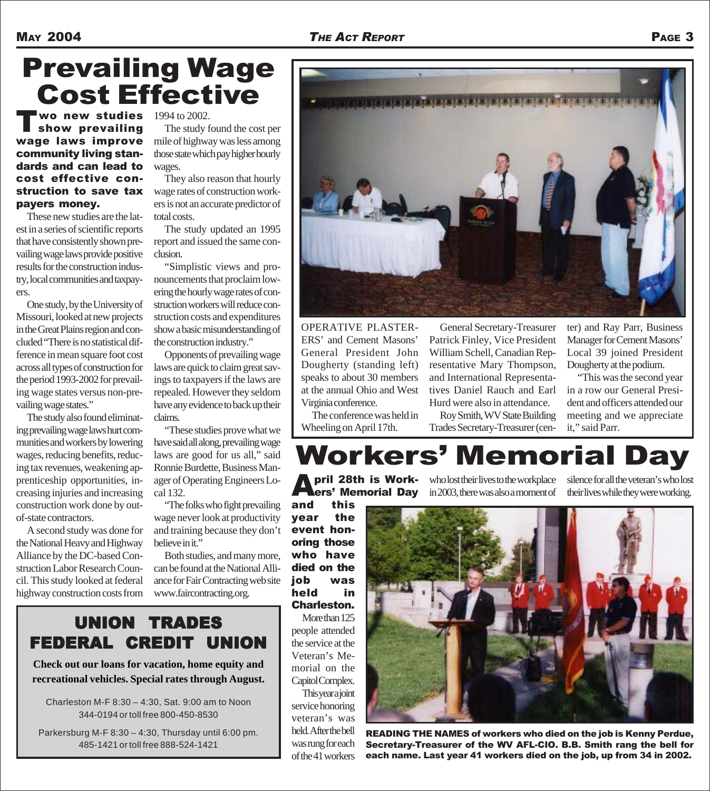# Prevailing Wage Cost Effective

**T** wo new studies<br>Show prevailing wage laws improve community living standards and can lead to cost effective construction to save tax payers money.

These new studies are the latest in a series of scientific reports that have consistently shown prevailing wage laws provide positive results for the construction industry, local communities and taxpayers.

One study, by the University of Missouri, looked at new projects in the Great Plains region and concluded "There is no statistical difference in mean square foot cost across all types of construction for the period 1993-2002 for prevailing wage states versus non-prevailing wage states."

The study also found eliminating prevailing wage laws hurt communities and workers by lowering wages, reducing benefits, reducing tax revenues, weakening apprenticeship opportunities, increasing injuries and increasing construction work done by outof-state contractors.

A second study was done for the National Heavy and Highway Alliance by the DC-based Construction Labor Research Council. This study looked at federal highway construction costs from 1994 to 2002.

The study found the cost per mile of highway was less among those state which pay higher hourly wages.

They also reason that hourly wage rates of construction workers is not an accurate predictor of total costs.

The study updated an 1995 report and issued the same conclusion.

"Simplistic views and pronouncements that proclaim lowering the hourly wage rates of construction workers will reduce construction costs and expenditures show a basic misunderstanding of the construction industry."

Opponents of prevailing wage laws are quick to claim great savings to taxpayers if the laws are repealed. However they seldom have any evidence to back up their claims.

"These studies prove what we have said all along, prevailing wage laws are good for us all," said Ronnie Burdette, Business Manager of Operating Engineers Local 132.

"The folks who fight prevailing wage never look at productivity and training because they don't believe in it."

Both studies, and many more, can be found at the National Alliance for Fair Contracting web site www.faircontracting.org.



OPERATIVE PLASTER-ERS' and Cement Masons' General President John Dougherty (standing left) speaks to about 30 members at the annual Ohio and West Virginia conference.

The conference was held in Wheeling on April 17th.

General Secretary-Treasurer Patrick Finley, Vice President William Schell, Canadian Representative Mary Thompson, and International Representatives Daniel Rauch and Earl Hurd were also in attendance.

Roy Smith, WV State Building Trades Secretary-Treasurer (cen-

ter) and Ray Parr, Business Manager for Cement Masons' Local 39 joined President Dougherty at the podium.

"This was the second year in a row our General President and officers attended our meeting and we appreciate it," said Parr.

# Workers' Memorial Day

and this year the event honoring those who have died on the job was held in Charleston.

More than 125 people attended the service at the Veteran's Memorial on the Capitol Complex.

**This year a joint** service honoring veteran's was held. After the bell was rung for each of the 41 workers

**Pril 28th is Work-** who lost their lives to the workplace silence for all the veteran's who lost **here Memorial Day** in 2003, there was also a moment of their lives while they were working. who lost their lives to the workplace silence for all the veteran's who lost



READING THE NAMES of workers who died on the job is Kenny Perdue, Secretary-Treasurer of the WV AFL-CIO. B.B. Smith rang the bell for each name. Last year 41 workers died on the job, up from 34 in 2002.

UNION TRADES FEDERAL CREDIT UNION

**Check out our loans for vacation, home equity and recreational vehicles. Special rates through August.**

Charleston M-F 8:30 – 4:30, Sat. 9:00 am to Noon 344-0194 or toll free 800-450-8530

Parkersburg M-F 8:30 – 4:30, Thursday until 6:00 pm. 485-1421 or toll free 888-524-1421